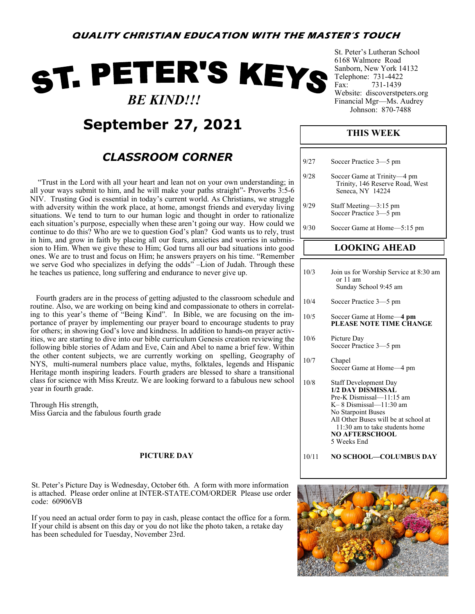# ST. PETER'S KEYS  *BE KIND!!!*

**September 27, 2021**

# *CLASSROOM CORNER*

 "Trust in the Lord with all your heart and lean not on your own understanding; in all your ways submit to him, and he will make your paths straight"- Proverbs 3:5-6 NIV. Trusting God is essential in today's current world. As Christians, we struggle with adversity within the work place, at home, amongst friends and everyday living situations. We tend to turn to our human logic and thought in order to rationalize each situation's purpose, especially when these aren't going our way. How could we continue to do this? Who are we to question God's plan? God wants us to rely, trust in him, and grow in faith by placing all our fears, anxieties and worries in submission to Him. When we give these to Him; God turns all our bad situations into good ones. We are to trust and focus on Him; he answers prayers on his time. "Remember we serve God who specializes in defying the odds" –Lion of Judah. Through these he teaches us patience, long suffering and endurance to never give up.

 Fourth graders are in the process of getting adjusted to the classroom schedule and routine. Also, we are working on being kind and compassionate to others in correlating to this year's theme of "Being Kind". In Bible, we are focusing on the importance of prayer by implementing our prayer board to encourage students to pray for others; in showing God's love and kindness. In addition to hands-on prayer activities, we are starting to dive into our bible curriculum Genesis creation reviewing the following bible stories of Adam and Eve, Cain and Abel to name a brief few. Within the other content subjects, we are currently working on spelling, Geography of NYS, multi-numeral numbers place value, myths, folktales, legends and Hispanic Heritage month inspiring leaders. Fourth graders are blessed to share a transitional class for science with Miss Kreutz. We are looking forward to a fabulous new school year in fourth grade.

Through His strength, Miss Garcia and the fabulous fourth grade

## **PICTURE DAY**

St. Peter's Picture Day is Wednesday, October 6th. A form with more information is attached. Please order online at INTER-STATE.COM/ORDER Please use order code: 60906VB

If you need an actual order form to pay in cash, please contact the office for a form. If your child is absent on this day or you do not like the photo taken, a retake day has been scheduled for Tuesday, November 23rd.

St. Peter's Lutheran School 6168 Walmore Road Sanborn, New York 14132 Telephone: 731-4422 Fax: 731-1439 Website: discoverstpeters.org Financial Mgr—Ms. Audrey Johnson: 870-7488

# **THIS WEEK**

| 9/27  | Soccer Practice 3-5 pm                                                                                                                                                                                                                        |
|-------|-----------------------------------------------------------------------------------------------------------------------------------------------------------------------------------------------------------------------------------------------|
| 9/28  | Soccer Game at Trinity-4 pm<br>Trinity, 146 Reserve Road, West<br>Seneca, NY 14224                                                                                                                                                            |
| 9/29  | Staff Meeting-3:15 pm<br>Soccer Practice 3-5 pm                                                                                                                                                                                               |
| 9/30  | Soccer Game at Home-5:15 pm                                                                                                                                                                                                                   |
|       | <b>LOOKING AHEAD</b>                                                                                                                                                                                                                          |
| 10/3  | Join us for Worship Service at 8:30 am<br>or 11 am<br>Sunday School 9:45 am                                                                                                                                                                   |
| 10/4  | Soccer Practice 3-5 pm                                                                                                                                                                                                                        |
| 10/5  | Soccer Game at Home—4 pm<br>PLEASE NOTE TIME CHANGE                                                                                                                                                                                           |
| 10/6  | Picture Day<br>Soccer Practice 3-5 pm                                                                                                                                                                                                         |
| 10/7  | Chapel<br>Soccer Game at Home-4 pm                                                                                                                                                                                                            |
| 10/8  | <b>Staff Development Day</b><br>1/2 DAY DISMISSAL<br>Pre-K Dismissal-11:15 am<br>$K-8$ Dismissal— $11:30$ am<br>No Starpoint Buses<br>All Other Buses will be at school at<br>11:30 am to take students home<br>NO AFTERSCHOOL<br>5 Weeks End |
| 10/11 | NO SCHOOL—COLUMBUS DAY                                                                                                                                                                                                                        |

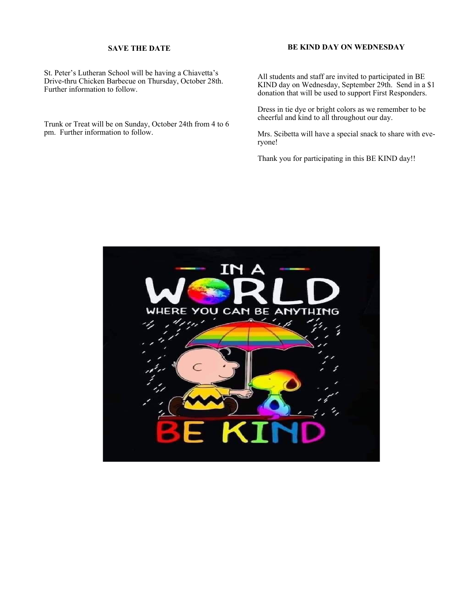#### **SAVE THE DATE**

St. Peter's Lutheran School will be having a Chiavetta's Drive-thru Chicken Barbecue on Thursday, October 28th. Further information to follow.

Trunk or Treat will be on Sunday, October 24th from 4 to 6 pm. Further information to follow.

### **BE KIND DAY ON WEDNESDAY**

All students and staff are invited to participated in BE KIND day on Wednesday, September 29th. Send in a \$1 donation that will be used to support First Responders.

Dress in tie dye or bright colors as we remember to be cheerful and kind to all throughout our day.

Mrs. Scibetta will have a special snack to share with everyone!

Thank you for participating in this BE KIND day!!